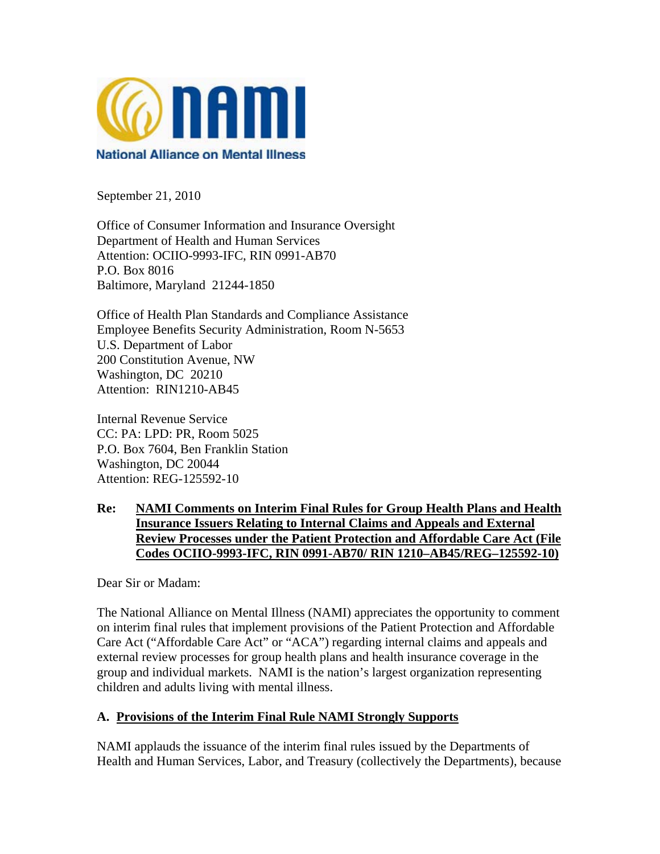

September 21, 2010

Office of Consumer Information and Insurance Oversight Department of Health and Human Services Attention: OCIIO-9993-IFC, RIN 0991-AB70 P.O. Box 8016 Baltimore, Maryland 21244-1850

Office of Health Plan Standards and Compliance Assistance Employee Benefits Security Administration, Room N-5653 U.S. Department of Labor 200 Constitution Avenue, NW Washington, DC 20210 Attention: RIN1210-AB45

Internal Revenue Service CC: PA: LPD: PR, Room 5025 P.O. Box 7604, Ben Franklin Station Washington, DC 20044 Attention: REG-125592-10

## **Re: NAMI Comments on Interim Final Rules for Group Health Plans and Health Insurance Issuers Relating to Internal Claims and Appeals and External Review Processes under the Patient Protection and Affordable Care Act (File Codes OCIIO-9993-IFC, RIN 0991-AB70/ RIN 1210–AB45/REG–125592-10)**

Dear Sir or Madam:

The National Alliance on Mental Illness (NAMI) appreciates the opportunity to comment on interim final rules that implement provisions of the Patient Protection and Affordable Care Act ("Affordable Care Act" or "ACA") regarding internal claims and appeals and external review processes for group health plans and health insurance coverage in the group and individual markets. NAMI is the nation's largest organization representing children and adults living with mental illness.

## **A. Provisions of the Interim Final Rule NAMI Strongly Supports**

NAMI applauds the issuance of the interim final rules issued by the Departments of Health and Human Services, Labor, and Treasury (collectively the Departments), because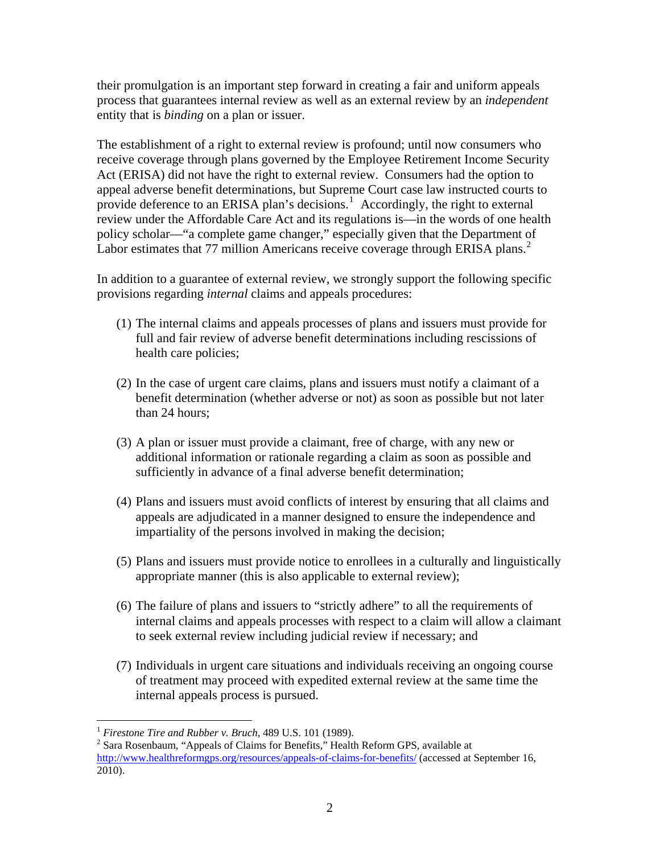their promulgation is an important step forward in creating a fair and uniform appeals process that guarantees internal review as well as an external review by an *independent* entity that is *binding* on a plan or issuer.

The establishment of a right to external review is profound; until now consumers who receive coverage through plans governed by the Employee Retirement Income Security Act (ERISA) did not have the right to external review. Consumers had the option to appeal adverse benefit determinations, but Supreme Court case law instructed courts to provide deference to an ERISA plan's decisions.<sup>[1](#page-1-0)</sup> Accordingly, the right to external review under the Affordable Care Act and its regulations is—in the words of one health policy scholar—"a complete game changer," especially given that the Department of Labor estimates that 77 million Americans receive coverage through ERISA plans.<sup>[2](#page-1-1)</sup>

In addition to a guarantee of external review, we strongly support the following specific provisions regarding *internal* claims and appeals procedures:

- (1) The internal claims and appeals processes of plans and issuers must provide for full and fair review of adverse benefit determinations including rescissions of health care policies;
- (2) In the case of urgent care claims, plans and issuers must notify a claimant of a benefit determination (whether adverse or not) as soon as possible but not later than 24 hours;
- (3) A plan or issuer must provide a claimant, free of charge, with any new or additional information or rationale regarding a claim as soon as possible and sufficiently in advance of a final adverse benefit determination;
- (4) Plans and issuers must avoid conflicts of interest by ensuring that all claims and appeals are adjudicated in a manner designed to ensure the independence and impartiality of the persons involved in making the decision;
- (5) Plans and issuers must provide notice to enrollees in a culturally and linguistically appropriate manner (this is also applicable to external review);
- (6) The failure of plans and issuers to "strictly adhere" to all the requirements of internal claims and appeals processes with respect to a claim will allow a claimant to seek external review including judicial review if necessary; and
- (7) Individuals in urgent care situations and individuals receiving an ongoing course of treatment may proceed with expedited external review at the same time the internal appeals process is pursued.

<sup>&</sup>lt;u>.</u> <sup>1</sup> Firestone Tire and Rubber v. Bruch, 489 U.S. 101 (1989).<br><sup>2</sup> Sere Bosepheum *"Anneels of Cleims for Bonefits*" Health

<span id="page-1-1"></span><span id="page-1-0"></span><sup>&</sup>lt;sup>2</sup> Sara Rosenbaum, "Appeals of Claims for Benefits," Health Reform GPS, available at <http://www.healthreformgps.org/resources/appeals-of-claims-for-benefits/>(accessed at September 16, 2010).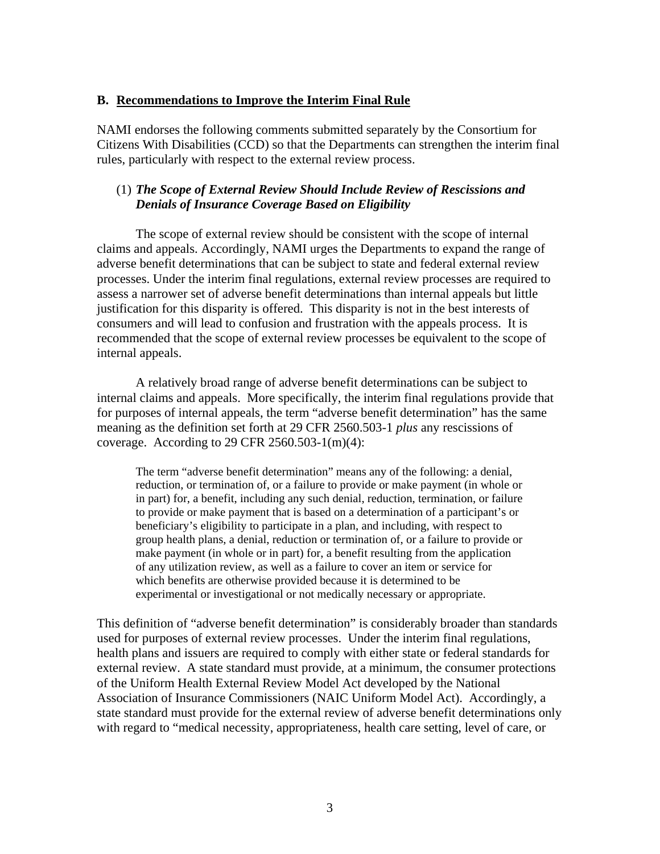#### **B. Recommendations to Improve the Interim Final Rule**

NAMI endorses the following comments submitted separately by the Consortium for Citizens With Disabilities (CCD) so that the Departments can strengthen the interim final rules, particularly with respect to the external review process.

#### (1) *The Scope of External Review Should Include Review of Rescissions and Denials of Insurance Coverage Based on Eligibility*

The scope of external review should be consistent with the scope of internal claims and appeals. Accordingly, NAMI urges the Departments to expand the range of adverse benefit determinations that can be subject to state and federal external review processes. Under the interim final regulations, external review processes are required to assess a narrower set of adverse benefit determinations than internal appeals but little justification for this disparity is offered. This disparity is not in the best interests of consumers and will lead to confusion and frustration with the appeals process. It is recommended that the scope of external review processes be equivalent to the scope of internal appeals.

A relatively broad range of adverse benefit determinations can be subject to internal claims and appeals. More specifically, the interim final regulations provide that for purposes of internal appeals, the term "adverse benefit determination" has the same meaning as the definition set forth at 29 CFR 2560.503-1 *plus* any rescissions of coverage. According to 29 CFR 2560.503-1 $(m)(4)$ :

The term "adverse benefit determination" means any of the following: a denial, reduction, or termination of, or a failure to provide or make payment (in whole or in part) for, a benefit, including any such denial, reduction, termination, or failure to provide or make payment that is based on a determination of a participant's or beneficiary's eligibility to participate in a plan, and including, with respect to group health plans, a denial, reduction or termination of, or a failure to provide or make payment (in whole or in part) for, a benefit resulting from the application of any utilization review, as well as a failure to cover an item or service for which benefits are otherwise provided because it is determined to be experimental or investigational or not medically necessary or appropriate.

This definition of "adverse benefit determination" is considerably broader than standards used for purposes of external review processes. Under the interim final regulations, health plans and issuers are required to comply with either state or federal standards for external review. A state standard must provide, at a minimum, the consumer protections of the Uniform Health External Review Model Act developed by the National Association of Insurance Commissioners (NAIC Uniform Model Act). Accordingly, a state standard must provide for the external review of adverse benefit determinations only with regard to "medical necessity, appropriateness, health care setting, level of care, or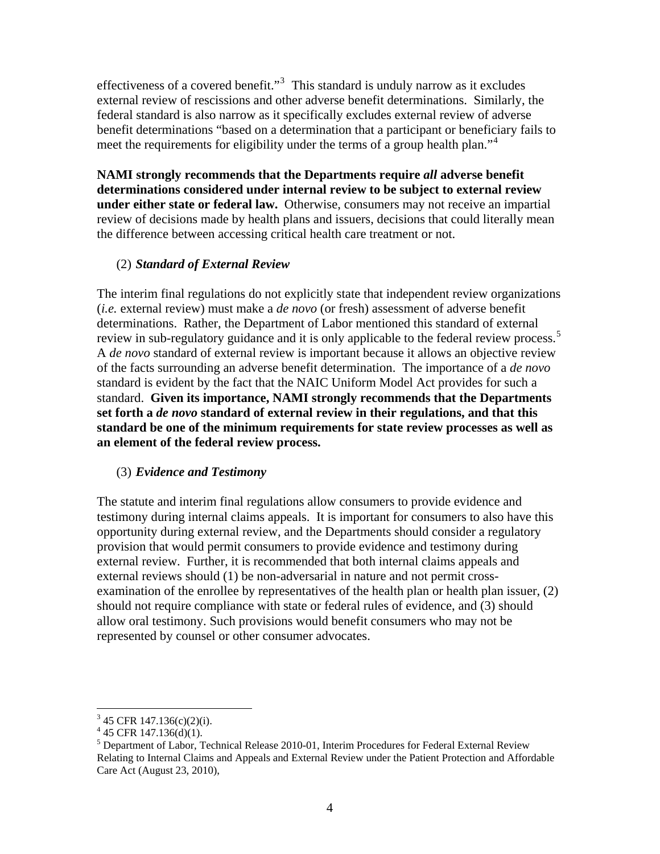effectiveness of a covered benefit."<sup>[3](#page-3-0)</sup> This standard is unduly narrow as it excludes external review of rescissions and other adverse benefit determinations. Similarly, the federal standard is also narrow as it specifically excludes external review of adverse benefit determinations "based on a determination that a participant or beneficiary fails to meet the requirements for eligibility under the terms of a group health plan."<sup>[4](#page-3-1)</sup>

**NAMI strongly recommends that the Departments require** *all* **adverse benefit determinations considered under internal review to be subject to external review under either state or federal law.** Otherwise, consumers may not receive an impartial review of decisions made by health plans and issuers, decisions that could literally mean the difference between accessing critical health care treatment or not.

## (2) *Standard of External Review*

The interim final regulations do not explicitly state that independent review organizations (*i.e.* external review) must make a *de novo* (or fresh) assessment of adverse benefit determinations. Rather, the Department of Labor mentioned this standard of external review in sub-regulatory guidance and it is only applicable to the federal review process.<sup>[5](#page-3-2)</sup> A *de novo* standard of external review is important because it allows an objective review of the facts surrounding an adverse benefit determination. The importance of a *de novo* standard is evident by the fact that the NAIC Uniform Model Act provides for such a standard. **Given its importance, NAMI strongly recommends that the Departments set forth a** *de novo* **standard of external review in their regulations, and that this standard be one of the minimum requirements for state review processes as well as an element of the federal review process.**

## (3) *Evidence and Testimony*

The statute and interim final regulations allow consumers to provide evidence and testimony during internal claims appeals. It is important for consumers to also have this opportunity during external review, and the Departments should consider a regulatory provision that would permit consumers to provide evidence and testimony during external review. Further, it is recommended that both internal claims appeals and external reviews should (1) be non-adversarial in nature and not permit crossexamination of the enrollee by representatives of the health plan or health plan issuer, (2) should not require compliance with state or federal rules of evidence, and (3) should allow oral testimony. Such provisions would benefit consumers who may not be represented by counsel or other consumer advocates.

 $\overline{a}$ 

<span id="page-3-0"></span> $3\,45$  CFR 147.136(c)(2)(i).

 $4\,$  45 CFR 147.136(d)(1).

<span id="page-3-2"></span><span id="page-3-1"></span><sup>&</sup>lt;sup>5</sup> Department of Labor, Technical Release 2010-01, Interim Procedures for Federal External Review Relating to Internal Claims and Appeals and External Review under the Patient Protection and Affordable Care Act (August 23, 2010),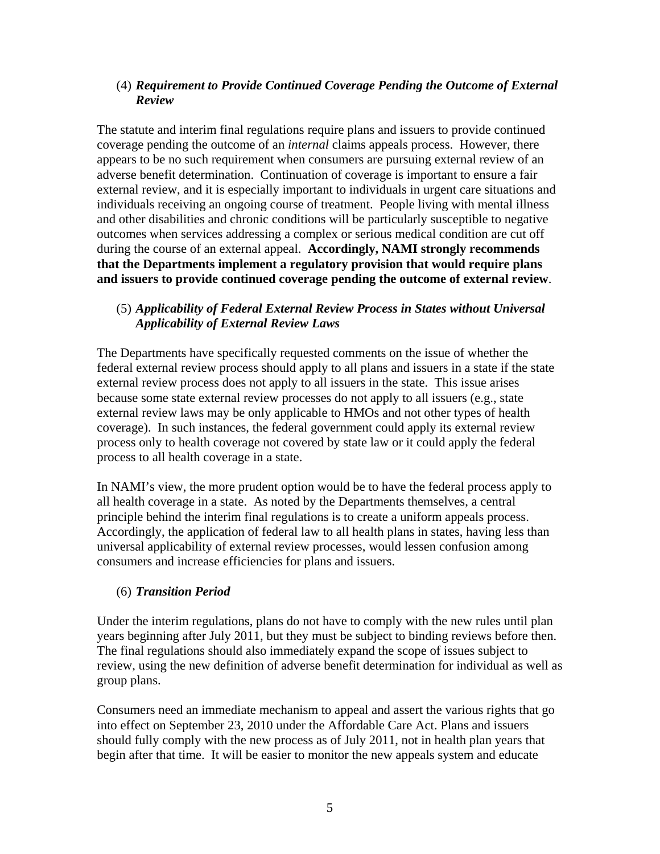## (4) *Requirement to Provide Continued Coverage Pending the Outcome of External Review*

The statute and interim final regulations require plans and issuers to provide continued coverage pending the outcome of an *internal* claims appeals process. However, there appears to be no such requirement when consumers are pursuing external review of an adverse benefit determination. Continuation of coverage is important to ensure a fair external review, and it is especially important to individuals in urgent care situations and individuals receiving an ongoing course of treatment. People living with mental illness and other disabilities and chronic conditions will be particularly susceptible to negative outcomes when services addressing a complex or serious medical condition are cut off during the course of an external appeal. **Accordingly, NAMI strongly recommends that the Departments implement a regulatory provision that would require plans and issuers to provide continued coverage pending the outcome of external review**.

#### (5) *Applicability of Federal External Review Process in States without Universal Applicability of External Review Laws*

The Departments have specifically requested comments on the issue of whether the federal external review process should apply to all plans and issuers in a state if the state external review process does not apply to all issuers in the state. This issue arises because some state external review processes do not apply to all issuers (e.g., state external review laws may be only applicable to HMOs and not other types of health coverage). In such instances, the federal government could apply its external review process only to health coverage not covered by state law or it could apply the federal process to all health coverage in a state.

In NAMI's view, the more prudent option would be to have the federal process apply to all health coverage in a state. As noted by the Departments themselves, a central principle behind the interim final regulations is to create a uniform appeals process. Accordingly, the application of federal law to all health plans in states, having less than universal applicability of external review processes, would lessen confusion among consumers and increase efficiencies for plans and issuers.

## (6) *Transition Period*

Under the interim regulations, plans do not have to comply with the new rules until plan years beginning after July 2011, but they must be subject to binding reviews before then. The final regulations should also immediately expand the scope of issues subject to review, using the new definition of adverse benefit determination for individual as well as group plans.

Consumers need an immediate mechanism to appeal and assert the various rights that go into effect on September 23, 2010 under the Affordable Care Act. Plans and issuers should fully comply with the new process as of July 2011, not in health plan years that begin after that time. It will be easier to monitor the new appeals system and educate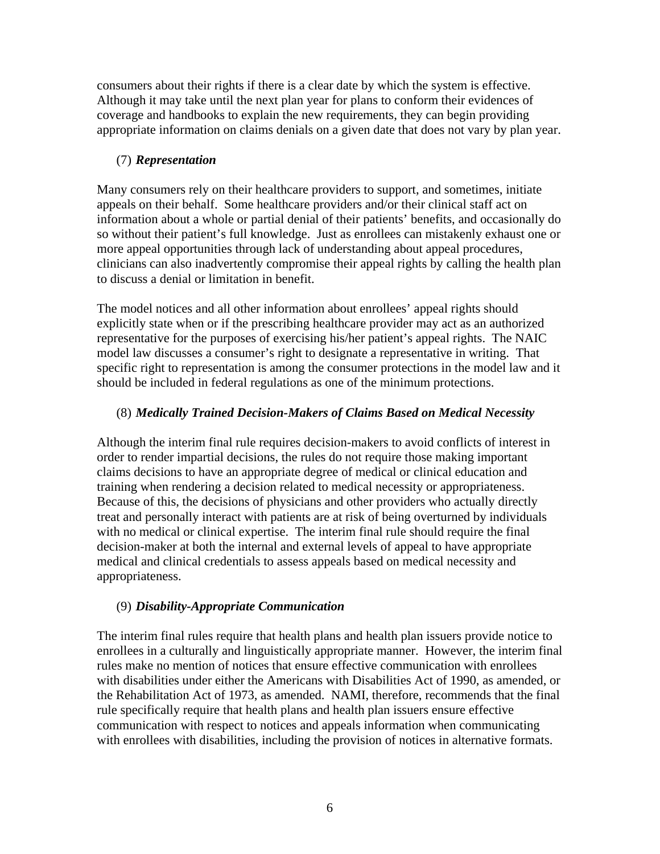consumers about their rights if there is a clear date by which the system is effective. Although it may take until the next plan year for plans to conform their evidences of coverage and handbooks to explain the new requirements, they can begin providing appropriate information on claims denials on a given date that does not vary by plan year.

## (7) *Representation*

Many consumers rely on their healthcare providers to support, and sometimes, initiate appeals on their behalf. Some healthcare providers and/or their clinical staff act on information about a whole or partial denial of their patients' benefits, and occasionally do so without their patient's full knowledge. Just as enrollees can mistakenly exhaust one or more appeal opportunities through lack of understanding about appeal procedures, clinicians can also inadvertently compromise their appeal rights by calling the health plan to discuss a denial or limitation in benefit.

The model notices and all other information about enrollees' appeal rights should explicitly state when or if the prescribing healthcare provider may act as an authorized representative for the purposes of exercising his/her patient's appeal rights. The NAIC model law discusses a consumer's right to designate a representative in writing. That specific right to representation is among the consumer protections in the model law and it should be included in federal regulations as one of the minimum protections.

# (8) *Medically Trained Decision-Makers of Claims Based on Medical Necessity*

Although the interim final rule requires decision-makers to avoid conflicts of interest in order to render impartial decisions, the rules do not require those making important claims decisions to have an appropriate degree of medical or clinical education and training when rendering a decision related to medical necessity or appropriateness. Because of this, the decisions of physicians and other providers who actually directly treat and personally interact with patients are at risk of being overturned by individuals with no medical or clinical expertise. The interim final rule should require the final decision-maker at both the internal and external levels of appeal to have appropriate medical and clinical credentials to assess appeals based on medical necessity and appropriateness.

## (9) *Disability-Appropriate Communication*

The interim final rules require that health plans and health plan issuers provide notice to enrollees in a culturally and linguistically appropriate manner. However, the interim final rules make no mention of notices that ensure effective communication with enrollees with disabilities under either the Americans with Disabilities Act of 1990, as amended, or the Rehabilitation Act of 1973, as amended. NAMI, therefore, recommends that the final rule specifically require that health plans and health plan issuers ensure effective communication with respect to notices and appeals information when communicating with enrollees with disabilities, including the provision of notices in alternative formats.